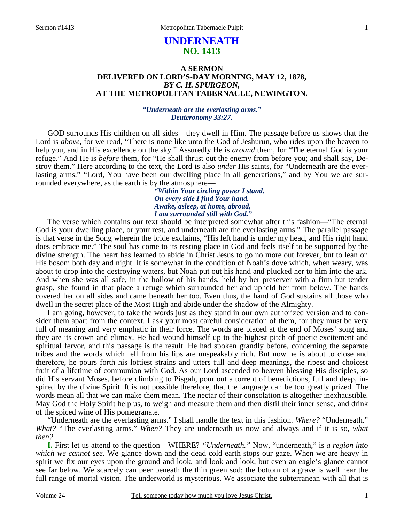# **UNDERNEATH NO. 1413**

## **A SERMON DELIVERED ON LORD'S-DAY MORNING, MAY 12, 1878,**  *BY C. H. SPURGEON,*  **AT THE METROPOLITAN TABERNACLE, NEWINGTON.**

### *"Underneath are the everlasting arms." Deuteronomy 33:27.*

GOD surrounds His children on all sides—they dwell in Him. The passage before us shows that the Lord is *above*, for we read, "There is none like unto the God of Jeshurun, who rides upon the heaven to help you, and in His excellence on the sky." Assuredly He is *around* them, for "The eternal God is your refuge." And He is *before* them, for "He shall thrust out the enemy from before you; and shall say, Destroy them." Here according to the text, the Lord is also *under* His saints, for "Underneath are the everlasting arms." "Lord, You have been our dwelling place in all generations," and by You we are surrounded everywhere, as the earth is by the atmosphere—

*"Within Your circling power I stand. On every side I find Your hand. Awake, asleep, at home, abroad, I am surrounded still with God."* 

The verse which contains our text should be interpreted somewhat after this fashion—"The eternal God is your dwelling place, or your rest, and underneath are the everlasting arms." The parallel passage is that verse in the Song wherein the bride exclaims, "His left hand is under my head, and His right hand does embrace me." The soul has come to its resting place in God and feels itself to be supported by the divine strength. The heart has learned to abide in Christ Jesus to go no more out forever, but to lean on His bosom both day and night. It is somewhat in the condition of Noah's dove which, when weary, was about to drop into the destroying waters, but Noah put out his hand and plucked her to him into the ark. And when she was all safe, in the hollow of his hands, held by her preserver with a firm but tender grasp, she found in that place a refuge which surrounded her and upheld her from below. The hands covered her on all sides and came beneath her too. Even thus, the hand of God sustains all those who dwell in the secret place of the Most High and abide under the shadow of the Almighty.

I am going, however, to take the words just as they stand in our own authorized version and to consider them apart from the context. I ask your most careful consideration of them, for they must be very full of meaning and very emphatic in their force. The words are placed at the end of Moses' song and they are its crown and climax. He had wound himself up to the highest pitch of poetic excitement and spiritual fervor, and this passage is the result. He had spoken grandly before, concerning the separate tribes and the words which fell from his lips are unspeakably rich. But now he is about to close and therefore, he pours forth his loftiest strains and utters full and deep meanings, the ripest and choicest fruit of a lifetime of communion with God. As our Lord ascended to heaven blessing His disciples, so did His servant Moses, before climbing to Pisgah, pour out a torrent of benedictions, full and deep, inspired by the divine Spirit. It is not possible therefore, that the language can be too greatly prized. The words mean all that we can make them mean. The nectar of their consolation is altogether inexhaustible. May God the Holy Spirit help us, to weigh and measure them and then distil their inner sense, and drink of the spiced wine of His pomegranate.

"Underneath are the everlasting arms." I shall handle the text in this fashion. *Where?* "Underneath." *What?* "The everlasting arms." *When?* They are underneath us now and always and if it is so, *what then?*

**I.** First let us attend to the question—WHERE? *"Underneath."* Now, "underneath," is *a region into which we cannot see.* We glance down and the dead cold earth stops our gaze. When we are heavy in spirit we fix our eyes upon the ground and look, and look and look, but even an eagle's glance cannot see far below. We scarcely can peer beneath the thin green sod; the bottom of a grave is well near the full range of mortal vision. The underworld is mysterious. We associate the subterranean with all that is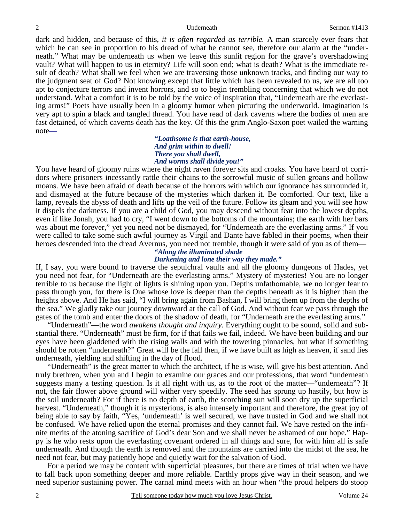dark and hidden, and because of this, *it is often regarded as terrible.* A man scarcely ever fears that which he can see in proportion to his dread of what he cannot see, therefore our alarm at the "underneath." What may be underneath us when we leave this sunlit region for the grave's overshadowing vault? What will happen to us in eternity? Life will soon end; what is death? What is the immediate result of death? What shall we feel when we are traversing those unknown tracks, and finding our way to the judgment seat of God? Not knowing except that little which has been revealed to us, we are all too apt to conjecture terrors and invent horrors, and so to begin trembling concerning that which we do not understand. What a comfort it is to be told by the voice of inspiration that, "Underneath are the everlasting arms!" Poets have usually been in a gloomy humor when picturing the underworld. Imagination is very apt to spin a black and tangled thread. You have read of dark caverns where the bodies of men are fast detained, of which caverns death has the key. Of this the grim Anglo-Saxon poet wailed the warning note*—*

> *"Loathsome is that earth-house, And grim within to dwell! There you shall dwell, And worms shall divide you!"*

You have heard of gloomy ruins where the night raven forever sits and croaks. You have heard of corridors where prisoners incessantly rattle their chains to the sorrowful music of sullen groans and hollow moans. We have been afraid of death because of the horrors with which our ignorance has surrounded it, and dismayed at the future because of the mysteries which darken it. Be comforted. Our text, like a lamp, reveals the abyss of death and lifts up the veil of the future. Follow its gleam and you will see how it dispels the darkness. If you are a child of God, you may descend without fear into the lowest depths, even if like Jonah, you had to cry, "I went down to the bottoms of the mountains; the earth with her bars was about me forever," yet you need not be dismayed, for "Underneath are the everlasting arms." If you were called to take some such awful journey as Virgil and Dante have fabled in their poems, when their heroes descended into the dread Avernus, you need not tremble, though it were said of you as of them—

# *"Along the illuminated shade Darkening and lone their way they made."*

If, I say, you were bound to traverse the sepulchral vaults and all the gloomy dungeons of Hades, yet you need not fear, for "Underneath are the everlasting arms." Mystery of mysteries! You are no longer terrible to us because the light of lights is shining upon you. Depths unfathomable, we no longer fear to pass through you, for there is One whose love is deeper than the depths beneath as it is higher than the heights above. And He has said, "I will bring again from Bashan, I will bring them up from the depths of the sea." We gladly take our journey downward at the call of God. And without fear we pass through the gates of the tomb and enter the doors of the shadow of death, for "Underneath are the everlasting arms."

"Underneath"—the word *awakens thought and inquiry.* Everything ought to be sound, solid and substantial there. "Underneath" must be firm, for if that fails we fail, indeed. We have been building and our eyes have been gladdened with the rising walls and with the towering pinnacles, but what if something should be rotten "underneath?" Great will be the fall then, if we have built as high as heaven, if sand lies underneath, yielding and shifting in the day of flood.

"Underneath" is the great matter to which the architect, if he is wise, will give his best attention. And truly brethren, when you and I begin to examine our graces and our professions, that word "underneath suggests many a testing question. Is it all right with us, as to the root of the matter—"underneath"? If not, the fair flower above ground will wither very speedily. The seed has sprung up hastily, but how is the soil underneath? For if there is no depth of earth, the scorching sun will soon dry up the superficial harvest. "Underneath," though it is mysterious, is also intensely important and therefore, the great joy of being able to say by faith, "Yes, 'underneath' is well secured, we have trusted in God and we shall not be confused. We have relied upon the eternal promises and they cannot fail. We have rested on the infinite merits of the atoning sacrifice of God's dear Son and we shall never be ashamed of our hope." Happy is he who rests upon the everlasting covenant ordered in all things and sure, for with him all is safe underneath. And though the earth is removed and the mountains are carried into the midst of the sea, he need not fear, but may patiently hope and quietly wait for the salvation of God.

For a period we may be content with superficial pleasures, but there are times of trial when we have to fall back upon something deeper and more reliable. Earthly props give way in their season, and we need superior sustaining power. The carnal mind meets with an hour when "the proud helpers do stoop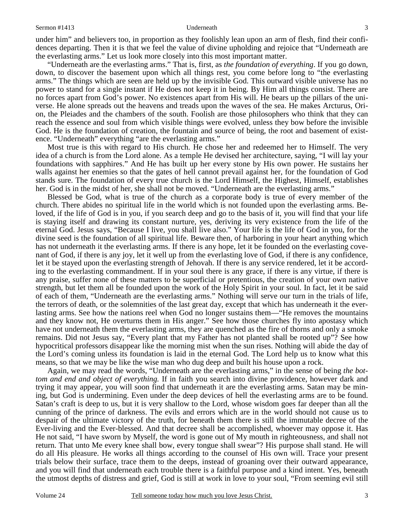under him" and believers too, in proportion as they foolishly lean upon an arm of flesh, find their confidences departing. Then it is that we feel the value of divine upholding and rejoice that "Underneath are the everlasting arms." Let us look more closely into this most important matter.

"Underneath are the everlasting arms." That is, first, as *the foundation of everything*. If you go down, down, to discover the basement upon which all things rest, you come before long to "the everlasting arms." The things which are seen are held up by the invisible God. This outward visible universe has no power to stand for a single instant if He does not keep it in being. By Him all things consist. There are no forces apart from God's power. No existences apart from His will. He bears up the pillars of the universe. He alone spreads out the heavens and treads upon the waves of the sea. He makes Arcturus, Orion, the Pleiades and the chambers of the south. Foolish are those philosophers who think that they can reach the essence and soul from which visible things were evolved, unless they bow before the invisible God. He is the foundation of creation, the fountain and source of being, the root and basement of existence. "Underneath" everything "are the everlasting arms."

Most true is this with regard to His church. He chose her and redeemed her to Himself. The very idea of a church is from the Lord alone. As a temple He devised her architecture, saying, "I will lay your foundations with sapphires." And He has built up her every stone by His own power. He sustains her walls against her enemies so that the gates of hell cannot prevail against her, for the foundation of God stands sure. The foundation of every true church is the Lord Himself, the Highest, Himself, establishes her. God is in the midst of her, she shall not be moved. "Underneath are the everlasting arms."

Blessed be God, what is true of the church as a corporate body is true of every member of the church. There abides no spiritual life in the world which is not founded upon the everlasting arms. Beloved, if the life of God is in you, if you search deep and go to the basis of it, you will find that your life is staying itself and drawing its constant nurture, yes, deriving its very existence from the life of the eternal God. Jesus says, "Because I live, you shall live also." Your life is the life of God in you, for the divine seed is the foundation of all spiritual life. Beware then, of harboring in your heart anything which has not underneath it the everlasting arms. If there is any hope, let it be founded on the everlasting covenant of God, if there is any joy, let it well up from the everlasting love of God, if there is any confidence, let it be stayed upon the everlasting strength of Jehovah. If there is any service rendered, let it be according to the everlasting commandment. If in your soul there is any grace, if there is any virtue, if there is any praise, suffer none of these matters to be superficial or pretentious, the creation of your own native strength, but let them all be founded upon the work of the Holy Spirit in your soul. In fact, let it be said of each of them, "Underneath are the everlasting arms." Nothing will serve our turn in the trials of life, the terrors of death, or the solemnities of the last great day, except that which has underneath it the everlasting arms. See how the nations reel when God no longer sustains them—"He removes the mountains and they know not, He overturns them in His anger." See how those churches fly into apostasy which have not underneath them the everlasting arms, they are quenched as the fire of thorns and only a smoke remains. Did not Jesus say, "Every plant that my Father has not planted shall be rooted up"? See how hypocritical professors disappear like the morning mist when the sun rises. Nothing will abide the day of the Lord's coming unless its foundation is laid in the eternal God. The Lord help us to know what this means, so that we may be like the wise man who dug deep and built his house upon a rock.

Again, we may read the words, "Underneath are the everlasting arms," in the sense of being *the bottom and end and object of everything.* If in faith you search into divine providence, however dark and trying it may appear, you will soon find that underneath it are the everlasting arms. Satan may be mining, but God is undermining. Even under the deep devices of hell the everlasting arms are to be found. Satan's craft is deep to us, but it is very shallow to the Lord, whose wisdom goes far deeper than all the cunning of the prince of darkness. The evils and errors which are in the world should not cause us to despair of the ultimate victory of the truth, for beneath them there is still the immutable decree of the Ever-living and the Ever-blessed. And that decree shall be accomplished, whoever may oppose it. Has He not said, "I have sworn by Myself, the word is gone out of My mouth in righteousness, and shall not return. That unto Me every knee shall bow, every tongue shall swear"? His purpose shall stand. He will do all His pleasure. He works all things according to the counsel of His own will. Trace your present trials below their surface, trace them to the deeps, instead of groaning over their outward appearance, and you will find that underneath each trouble there is a faithful purpose and a kind intent. Yes, beneath the utmost depths of distress and grief, God is still at work in love to your soul, "From seeming evil still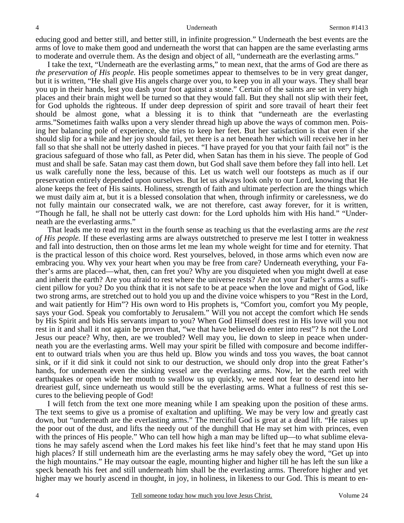educing good and better still, and better still, in infinite progression." Underneath the best events are the arms of love to make them good and underneath the worst that can happen are the same everlasting arms to moderate and overrule them. As the design and object of all, "underneath are the everlasting arms."

I take the text, "Underneath are the everlasting arms," to mean next, that the arms of God are there as *the preservation of His people.* His people sometimes appear to themselves to be in very great danger, but it is written, "He shall give His angels charge over you, to keep you in all your ways. They shall bear you up in their hands, lest you dash your foot against a stone." Certain of the saints are set in very high places and their brain might well be turned so that they would fall. But they shall not slip with their feet, for God upholds the righteous. If under deep depression of spirit and sore travail of heart their feet should be almost gone, what a blessing it is to think that "underneath are the everlasting arms."Sometimes faith walks upon a very slender thread high up above the ways of common men. Poising her balancing pole of experience, she tries to keep her feet. But her satisfaction is that even if she should slip for a while and her joy should fail, yet there is a net beneath her which will receive her in her fall so that she shall not be utterly dashed in pieces. "I have prayed for you that your faith fail not" is the gracious safeguard of those who fall, as Peter did, when Satan has them in his sieve. The people of God must and shall be safe. Satan may cast them down, but God shall save them before they fall into hell. Let us walk carefully none the less, because of this. Let us watch well our footsteps as much as if our preservation entirely depended upon ourselves. But let us always look only to our Lord, knowing that He alone keeps the feet of His saints. Holiness, strength of faith and ultimate perfection are the things which we must daily aim at, but it is a blessed consolation that when, through infirmity or carelessness, we do not fully maintain our consecrated walk, we are not therefore, cast away forever, for it is written, "Though he fall, he shall not be utterly cast down: for the Lord upholds him with His hand." "Underneath are the everlasting arms."

That leads me to read my text in the fourth sense as teaching us that the everlasting arms are *the rest of His people.* If these everlasting arms are always outstretched to preserve me lest I totter in weakness and fall into destruction, then on those arms let me lean my whole weight for time and for eternity. That is the practical lesson of this choice word. Rest yourselves, beloved, in those arms which even now are embracing you. Why vex your heart when you may be free from care? Underneath everything, your Father's arms are placed—what, then, can fret you? Why are you disquieted when you might dwell at ease and inherit the earth? Are you afraid to rest where the universe rests? Are not your Father's arms a sufficient pillow for you? Do you think that it is not safe to be at peace when the love and might of God, like two strong arms, are stretched out to hold you up and the divine voice whispers to you "Rest in the Lord, and wait patiently for Him"? His own word to His prophets is, "Comfort you, comfort you My people, says your God. Speak you comfortably to Jerusalem." Will you not accept the comfort which He sends by His Spirit and bids His servants impart to you? When God Himself does rest in His love will you not rest in it and shall it not again be proven that, "we that have believed do enter into rest"? Is not the Lord Jesus our peace? Why, then, are we troubled? Well may you, lie down to sleep in peace when underneath you are the everlasting arms. Well may your spirit be filled with composure and become indifferent to outward trials when you are thus held up. Blow you winds and toss you waves, the boat cannot sink, or if it did sink it could not sink to our destruction, we should only drop into the great Father's hands, for underneath even the sinking vessel are the everlasting arms. Now, let the earth reel with earthquakes or open wide her mouth to swallow us up quickly, we need not fear to descend into her dreariest gulf, since underneath us would still be the everlasting arms. What a fullness of rest this secures to the believing people of God!

I will fetch from the text one more meaning while I am speaking upon the position of these arms. The text seems to give us a promise of exaltation and uplifting. We may be very low and greatly cast down, but "underneath are the everlasting arms." The merciful God is great at a dead lift. "He raises up the poor out of the dust, and lifts the needy out of the dunghill that He may set him with princes, even with the princes of His people." Who can tell how high a man may be lifted up—to what sublime elevations he may safely ascend when the Lord makes his feet like hind's feet that he may stand upon His high places? If still underneath him are the everlasting arms he may safely obey the word, "Get up into the high mountains." He may outsoar the eagle, mounting higher and higher till he has left the sun like a speck beneath his feet and still underneath him shall be the everlasting arms. Therefore higher and yet higher may we hourly ascend in thought, in joy, in holiness, in likeness to our God. This is meant to en-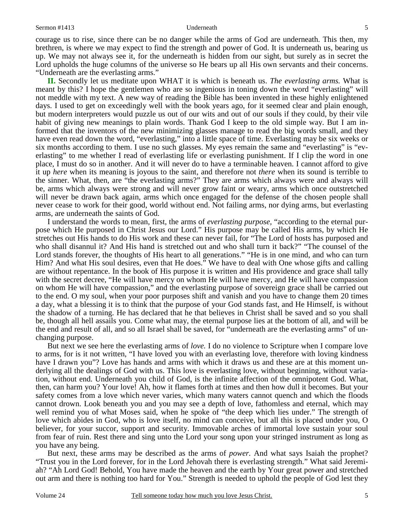courage us to rise, since there can be no danger while the arms of God are underneath. This then, my brethren, is where we may expect to find the strength and power of God. It is underneath us, bearing us up. We may not always see it, for the underneath is hidden from our sight, but surely as in secret the Lord upholds the huge columns of the universe so He bears up all His own servants and their concerns. "Underneath are the everlasting arms."

**II.** Secondly let us meditate upon WHAT it is which is beneath us. *The everlasting arms.* What is meant by this? I hope the gentlemen who are so ingenious in toning down the word "everlasting" will not meddle with my text. A new way of reading the Bible has been invented in these highly enlightened days. I used to get on exceedingly well with the book years ago, for it seemed clear and plain enough, but modern interpreters would puzzle us out of our wits and out of our souls if they could, by their vile habit of giving new meanings to plain words. Thank God I keep to the old simple way. But I am informed that the inventors of the new minimizing glasses manage to read the big words small, and they have even read down the word, "everlasting," into a little space of time. Everlasting may be six weeks or six months according to them. I use no such glasses. My eyes remain the same and "everlasting" is "everlasting" to me whether I read of everlasting life or everlasting punishment. If I clip the word in one place, I must do so in another. And it will never do to have a terminable heaven. I cannot afford to give it up *here* when its meaning is joyous to the saint, and therefore not *there* when its sound is terrible to the sinner. What, then, are "the everlasting arms?" They are arms which always were and always will be, arms which always were strong and will never grow faint or weary, arms which once outstretched will never be drawn back again, arms which once engaged for the defense of the chosen people shall never cease to work for their good, world without end. Not failing arms, nor dying arms, but everlasting arms, are underneath the saints of God.

I understand the words to mean, first, the arms of *everlasting purpose,* "according to the eternal purpose which He purposed in Christ Jesus our Lord." His purpose may be called His arms, by which He stretches out His hands to do His work and these can never fail, for "The Lord of hosts has purposed and who shall disannul it? And His hand is stretched out and who shall turn it back?" "The counsel of the Lord stands forever, the thoughts of His heart to all generations." "He is in one mind, and who can turn Him? And what His soul desires, even that He does." We have to deal with One whose gifts and calling are without repentance. In the book of His purpose it is written and His providence and grace shall tally with the secret decree, "He will have mercy on whom He will have mercy, and He will have compassion on whom He will have compassion," and the everlasting purpose of sovereign grace shall be carried out to the end. O my soul, when your poor purposes shift and vanish and you have to change them 20 times a day, what a blessing it is to think that the purpose of your God stands fast, and He Himself, is without the shadow of a turning. He has declared that he that believes in Christ shall be saved and so you shall be, though all hell assails you. Come what may, the eternal purpose lies at the bottom of all, and will be the end and result of all, and so all Israel shall be saved, for "underneath are the everlasting arms" of unchanging purpose.

But next we see here the everlasting arms of *love.* I do no violence to Scripture when I compare love to arms, for is it not written, "I have loved you with an everlasting love, therefore with loving kindness have I drawn you"? Love has hands and arms with which it draws us and these are at this moment underlying all the dealings of God with us. This love is everlasting love, without beginning, without variation, without end. Underneath you child of God, is the infinite affection of the omnipotent God. What, then, can harm you? Your love! Ah, how it flames forth at times and then how dull it becomes. But your safety comes from a love which never varies, which many waters cannot quench and which the floods cannot drown. Look beneath you and you may see a depth of love, fathomless and eternal, which may well remind you of what Moses said, when he spoke of "the deep which lies under." The strength of love which abides in God, who is love itself, no mind can conceive, but all this is placed under you, O believer, for your succor, support and security. Immovable arches of immortal love sustain your soul from fear of ruin. Rest there and sing unto the Lord your song upon your stringed instrument as long as you have any being.

But next, these arms may be described as the arms of *power.* And what says Isaiah the prophet? "Trust you in the Lord forever, for in the Lord Jehovah there is everlasting strength." What said Jeremiah? "Ah Lord God! Behold, You have made the heaven and the earth by Your great power and stretched out arm and there is nothing too hard for You." Strength is needed to uphold the people of God lest they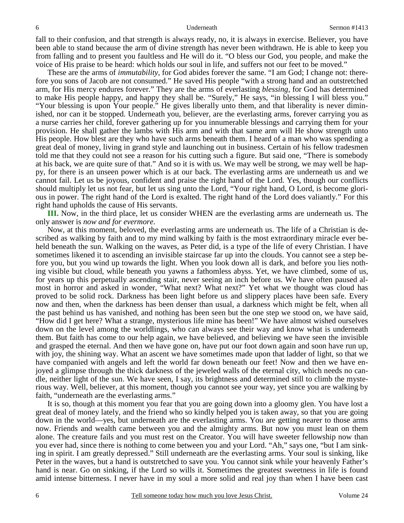fall to their confusion, and that strength is always ready, no, it is always in exercise. Believer, you have been able to stand because the arm of divine strength has never been withdrawn. He is able to keep you from falling and to present you faultless and He will do it. "O bless our God, you people, and make the voice of His praise to be heard: which holds our soul in life, and suffers not our feet to be moved."

These are the arms of *immutability,* for God abides forever the same. "I am God; I change not: therefore you sons of Jacob are not consumed." He saved His people "with a strong hand and an outstretched arm, for His mercy endures forever." They are the arms of everlasting *blessing,* for God has determined to make His people happy, and happy they shall be. "Surely," He says, "in blessing I will bless you." "Your blessing is upon Your people." He gives liberally unto them, and that liberality is never diminished, nor can it be stopped. Underneath you, believer, are the everlasting arms, forever carrying you as a nurse carries her child, forever gathering up for you innumerable blessings and carrying them for your provision. He shall gather the lambs with His arm and with that same arm will He show strength unto His people. How blest are they who have such arms beneath them. I heard of a man who was spending a great deal of money, living in grand style and launching out in business. Certain of his fellow tradesmen told me that they could not see a reason for his cutting such a figure. But said one, "There is somebody at his back, we are quite sure of that." And so it is with us. We may well be strong, we may well be happy, for there is an unseen power which is at our back. The everlasting arms are underneath us and we cannot fail. Let us be joyous, confident and praise the right hand of the Lord. Yes, though our conflicts should multiply let us not fear, but let us sing unto the Lord, "Your right hand, O Lord, is become glorious in power. The right hand of the Lord is exalted. The right hand of the Lord does valiantly." For this right hand upholds the cause of His servants.

**III.** Now, in the third place, let us consider WHEN are the everlasting arms are underneath us. The only answer is *now and for evermore*.

Now, at this moment, beloved, the everlasting arms are underneath us. The life of a Christian is described as walking by faith and to my mind walking by faith is the most extraordinary miracle ever beheld beneath the sun. Walking on the waves, as Peter did, is a type of the life of every Christian. I have sometimes likened it to ascending an invisible staircase far up into the clouds. You cannot see a step before you, but you wind up towards the light. When you look down all is dark, and before you lies nothing visible but cloud, while beneath you yawns a fathomless abyss. Yet, we have climbed, some of us, for years up this perpetually ascending stair, never seeing an inch before us. We have often paused almost in horror and asked in wonder, "What next? What next?" Yet what we thought was cloud has proved to be solid rock. Darkness has been light before us and slippery places have been safe. Every now and then, when the darkness has been denser than usual, a darkness which might be felt, when all the past behind us has vanished, and nothing has been seen but the one step we stood on, we have said, "How did I get here? What a strange, mysterious life mine has been!" We have almost wished ourselves down on the level among the worldlings, who can always see their way and know what is underneath them. But faith has come to our help again, we have believed, and believing we have seen the invisible and grasped the eternal. And then we have gone on, have put our foot down again and soon have run up, with joy, the shining way. What an ascent we have sometimes made upon that ladder of light, so that we have companied with angels and left the world far down beneath our feet! Now and then we have enjoyed a glimpse through the thick darkness of the jeweled walls of the eternal city, which needs no candle, neither light of the sun. We have seen, I say, its brightness and determined still to climb the mysterious way. Well, believer, at this moment, though you cannot see your way, yet since you are walking by faith, "underneath are the everlasting arms."

It is so, though at this moment you fear that you are going down into a gloomy glen. You have lost a great deal of money lately, and the friend who so kindly helped you is taken away, so that you are going down in the world—yes, but underneath are the everlasting arms. You are getting nearer to those arms now. Friends and wealth came between you and the almighty arms. But now you must lean on them alone. The creature fails and you must rest on the Creator. You will have sweeter fellowship now than you ever had, since there is nothing to come between you and your Lord. "Ah," says one, "but I am sinking in spirit. I am greatly depressed." Still underneath are the everlasting arms. Your soul is sinking, like Peter in the waves, but a hand is outstretched to save you. You cannot sink while your heavenly Father's hand is near. Go on sinking, if the Lord so wills it. Sometimes the greatest sweetness in life is found amid intense bitterness. I never have in my soul a more solid and real joy than when I have been cast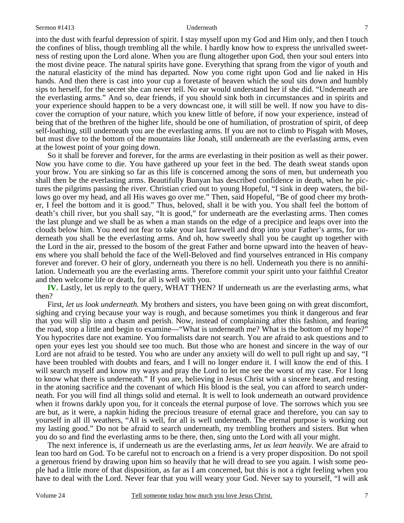into the dust with fearful depression of spirit. I stay myself upon my God and Him only, and then I touch the confines of bliss, though trembling all the while. I hardly know how to express the unrivalled sweetness of resting upon the Lord alone. When you are flung altogether upon God, then your soul enters into the most divine peace. The natural spirits have gone. Everything that sprang from the vigor of youth and the natural elasticity of the mind has departed. Now you come right upon God and lie naked in His hands. And then there is cast into your cup a foretaste of heaven which the soul sits down and humbly sips to herself, for the secret she can never tell. No ear would understand her if she did. "Underneath are the everlasting arms." And so, dear friends, if you should sink both in circumstances and in spirits and your experience should happen to be a very downcast one, it will still be well. If now you have to discover the corruption of your nature, which you knew little of before, if now your experience, instead of being that of the brethren of the higher life, should be one of humiliation, of prostration of spirit, of deep self-loathing, still underneath you are the everlasting arms. If you are not to climb to Pisgah with Moses, but must dive to the bottom of the mountains like Jonah, still underneath are the everlasting arms, even at the lowest point of your going down.

So it shall be forever and forever, for the arms are everlasting in their position as well as their power. Now you have come to die. You have gathered up your feet in the bed. The death sweat stands upon your brow. You are sinking so far as this life is concerned among the sons of men, but underneath you shall then be the everlasting arms. Beautifully Bunyan has described confidence in death, when he pictures the pilgrims passing the river. Christian cried out to young Hopeful, "I sink in deep waters, the billows go over my head, and all His waves go over me." Then, said Hopeful, "Be of good cheer my brother, I feel the bottom and it is good." Thus, beloved, shall it be with you. You shall feel the bottom of death's chill river, but you shall say, "It is good," for underneath are the everlasting arms. Then comes the last plunge and we shall be as when a man stands on the edge of a precipice and leaps over into the clouds below him. You need not fear to take your last farewell and drop into your Father's arms, for underneath you shall be the everlasting arms. And oh, how sweetly shall you be caught up together with the Lord in the air, pressed to the bosom of the great Father and borne upward into the heaven of heavens where you shall behold the face of the Well-Beloved and find yourselves entranced in His company forever and forever. O heir of glory, underneath you there is no hell. Underneath you there is no annihilation. Underneath you are the everlasting arms. Therefore commit your spirit unto your faithful Creator and then welcome life or death, for all is well with you.

**IV.** Lastly, let us reply to the query, WHAT THEN? If underneath us are the everlasting arms, what then?

First, *let us look underneath*. My brothers and sisters, you have been going on with great discomfort, sighing and crying because your way is rough, and because sometimes you think it dangerous and fear that you will slip into a chasm and perish. Now, instead of complaining after this fashion, and fearing the road, stop a little and begin to examine—"What is underneath me? What is the bottom of my hope?" You hypocrites dare not examine. You formalists dare not search. You are afraid to ask questions and to open your eyes lest you should see too much. But those who are honest and sincere in the way of our Lord are not afraid to be tested. You who are under any anxiety will do well to pull right up and say, "I have been troubled with doubts and fears, and I will no longer endure it. I will know the end of this. I will search myself and know my ways and pray the Lord to let me see the worst of my case. For I long to know what there is underneath." If you are, believing in Jesus Christ with a sincere heart, and resting in the atoning sacrifice and the covenant of which His blood is the seal, you can afford to search underneath. For you will find all things solid and eternal. It is well to look underneath an outward providence when it frowns darkly upon you, for it conceals the eternal purpose of love. The sorrows which you see are but, as it were, a napkin hiding the precious treasure of eternal grace and therefore, you can say to yourself in all ill weathers, "All is well, for all is well underneath. The eternal purpose is working out my lasting good." Do not be afraid to search underneath, my trembling brothers and sisters. But when you do so and find the everlasting arms to be there, then, sing unto the Lord with all your might.

The next inference is, if underneath us are the everlasting arms, *let us lean heavily.* We are afraid to lean too hard on God. To be careful not to encroach on a friend is a very proper disposition. Do not spoil a generous friend by drawing upon him so heavily that he will dread to see you again. I wish some people had a little more of that disposition, as far as I am concerned, but this is not a right feeling when you have to deal with the Lord. Never fear that you will weary your God. Never say to yourself, "I will ask